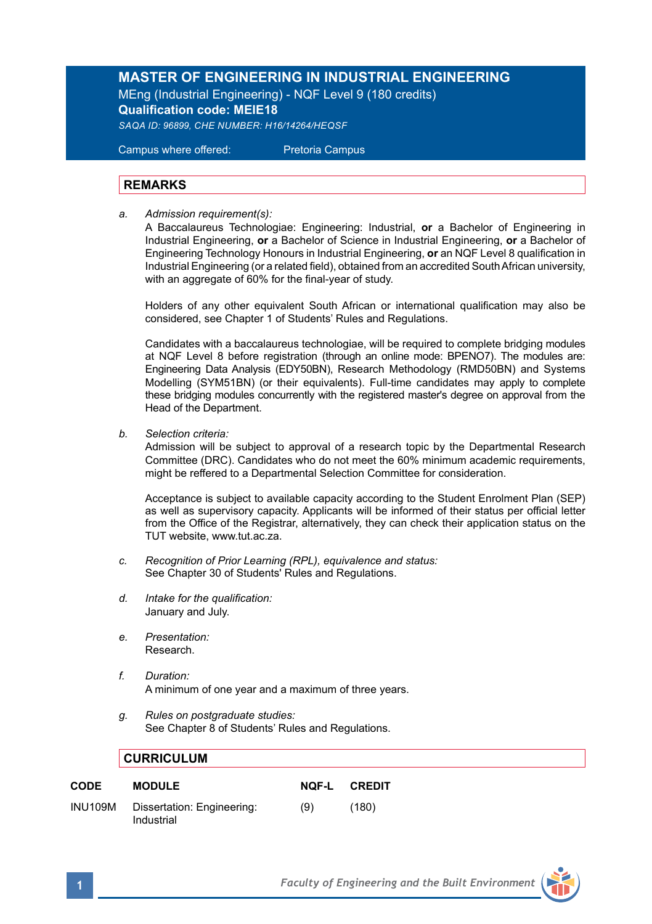## **MASTER OF ENGINEERING IN INDUSTRIAL ENGINEERING**

MEng (Industrial Engineering) - NQF Level 9 (180 credits) **Qualification code: MEIE18**

*SAQA ID: 96899, CHE NUMBER: H16/14264/HEQSF*

Campus where offered: Pretoria Campus

## **REMARKS**

*a. Admission requirement(s):* 

A Baccalaureus Technologiae: Engineering: Industrial, **or** a Bachelor of Engineering in Industrial Engineering, **or** a Bachelor of Science in Industrial Engineering, **or** a Bachelor of Engineering Technology Honours in Industrial Engineering, **or** an NQF Level 8 qualification in Industrial Engineering (or a related field), obtained from an accredited South African university, with an aggregate of 60% for the final-year of study.

Holders of any other equivalent South African or international qualification may also be considered, see Chapter 1 of Students' Rules and Regulations.

Candidates with a baccalaureus technologiae, will be required to complete bridging modules at NQF Level 8 before registration (through an online mode: BPENO7). The modules are: Engineering Data Analysis (EDY50BN), Research Methodology (RMD50BN) and Systems Modelling (SYM51BN) (or their equivalents). Full-time candidates may apply to complete these bridging modules concurrently with the registered master's degree on approval from the Head of the Department.

*b. Selection criteria:* 

Admission will be subject to approval of a research topic by the Departmental Research Committee (DRC). Candidates who do not meet the 60% minimum academic requirements, might be reffered to a Departmental Selection Committee for consideration.

Acceptance is subject to available capacity according to the Student Enrolment Plan (SEP) as well as supervisory capacity. Applicants will be informed of their status per official letter from the Office of the Registrar, alternatively, they can check their application status on the TUT website, www.tut.ac.za.

- *c. Recognition of Prior Learning (RPL), equivalence and status:* See Chapter 30 of Students' Rules and Regulations.
- *d. Intake for the qualification:* January and July.
- *e. Presentation:*  Research.
- *f. Duration:* A minimum of one year and a maximum of three years.
- *g. Rules on postgraduate studies:* See Chapter 8 of Students' Rules and Regulations.

## **CURRICULUM**

| <b>CODE</b>    | <b>MODULE</b>                            | <b>NOF-L</b> | <b>CREDIT</b> |
|----------------|------------------------------------------|--------------|---------------|
| <b>INU109M</b> | Dissertation: Engineering:<br>Industrial | (9)          | (180)         |